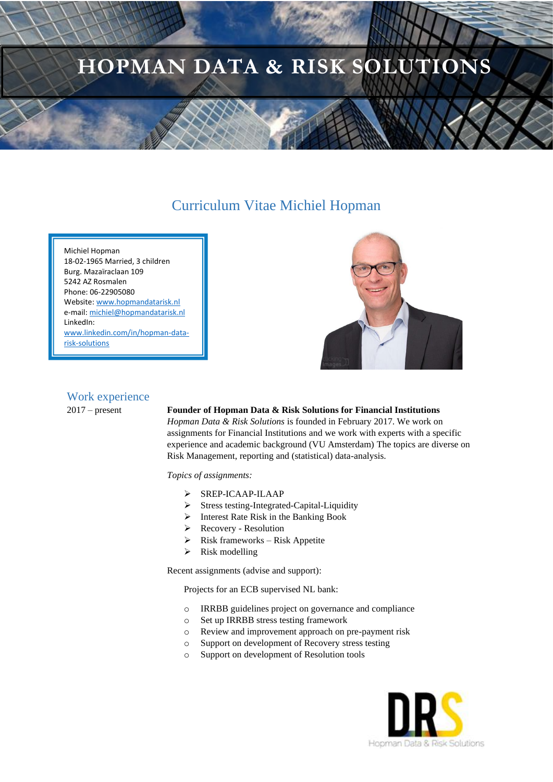# **HOPMAN DATA & RISK SOLUTIONS**

## Curriculum Vitae Michiel Hopman

Michiel Hopman 18-02-1965 Married, 3 children Burg. Mazaïraclaan 109 5242 AZ Rosmalen Phone: 06-22905080 Website[: www.hopmandatarisk.nl](http://www.hopmandatarisk.nl/) e-mail[: michiel@hopmandatarisk.nl](mailto:michiel@hopmandatarisk.nl) LinkedIn: [www.linkedin.com/in/hopman-data](http://www.linkedin.com/in/hopman-data-risk-solutions)[risk-solutions](http://www.linkedin.com/in/hopman-data-risk-solutions)



#### Work experience

#### 2017 – present **Founder of Hopman Data & Risk Solutions for Financial Institutions**

*Hopman Data & Risk Solutions* is founded in February 2017. We work on assignments for Financial Institutions and we work with experts with a specific experience and academic background (VU Amsterdam) The topics are diverse on Risk Management, reporting and (statistical) data-analysis.

*Topics of assignments:*

- ➢ SREP-ICAAP-ILAAP
- ➢ Stress testing-Integrated-Capital-Liquidity
- ➢ Interest Rate Risk in the Banking Book
- ➢ Recovery Resolution
- $\triangleright$  Risk frameworks Risk Appetite
- $\triangleright$  Risk modelling

Recent assignments (advise and support):

Projects for an ECB supervised NL bank:

- o IRRBB guidelines project on governance and compliance
- o Set up IRRBB stress testing framework
- o Review and improvement approach on pre-payment risk
- o Support on development of Recovery stress testing
- o Support on development of Resolution tools

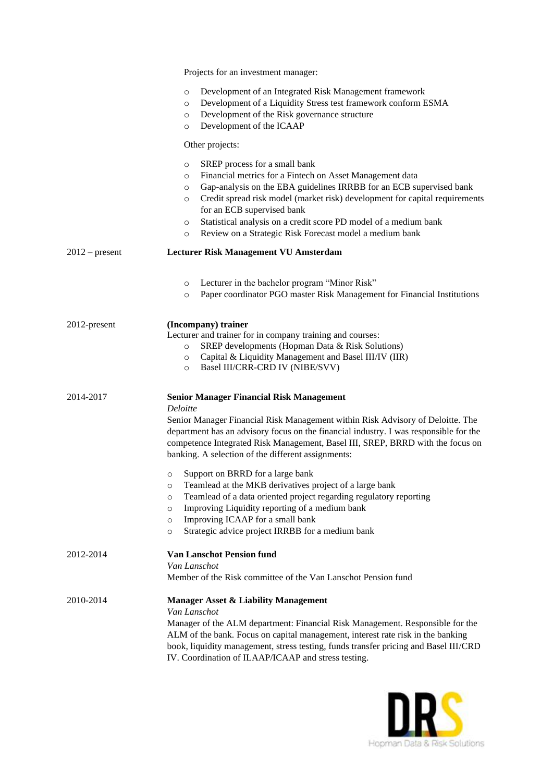|                  | Projects for an investment manager:                                                                                                                                                                                                                                                                                                                                                                                                                                                                                                                                                                                                                                                              |
|------------------|--------------------------------------------------------------------------------------------------------------------------------------------------------------------------------------------------------------------------------------------------------------------------------------------------------------------------------------------------------------------------------------------------------------------------------------------------------------------------------------------------------------------------------------------------------------------------------------------------------------------------------------------------------------------------------------------------|
|                  | Development of an Integrated Risk Management framework<br>$\circ$<br>Development of a Liquidity Stress test framework conform ESMA<br>$\circ$<br>Development of the Risk governance structure<br>$\circ$<br>Development of the ICAAP<br>$\circ$                                                                                                                                                                                                                                                                                                                                                                                                                                                  |
|                  | Other projects:                                                                                                                                                                                                                                                                                                                                                                                                                                                                                                                                                                                                                                                                                  |
|                  | SREP process for a small bank<br>$\circ$<br>Financial metrics for a Fintech on Asset Management data<br>$\circ$<br>Gap-analysis on the EBA guidelines IRRBB for an ECB supervised bank<br>$\circ$<br>Credit spread risk model (market risk) development for capital requirements<br>$\circ$<br>for an ECB supervised bank<br>Statistical analysis on a credit score PD model of a medium bank<br>$\circ$<br>Review on a Strategic Risk Forecast model a medium bank<br>$\circ$                                                                                                                                                                                                                   |
| $2012$ – present | Lecturer Risk Management VU Amsterdam                                                                                                                                                                                                                                                                                                                                                                                                                                                                                                                                                                                                                                                            |
|                  | Lecturer in the bachelor program "Minor Risk"<br>$\circ$<br>Paper coordinator PGO master Risk Management for Financial Institutions<br>$\circ$                                                                                                                                                                                                                                                                                                                                                                                                                                                                                                                                                   |
| 2012-present     | (Incompany) trainer<br>Lecturer and trainer for in company training and courses:<br>SREP developments (Hopman Data & Risk Solutions)<br>$\circ$<br>Capital & Liquidity Management and Basel III/IV (IIR)<br>$\circ$<br>Basel III/CRR-CRD IV (NIBE/SVV)<br>$\circ$                                                                                                                                                                                                                                                                                                                                                                                                                                |
| 2014-2017        | <b>Senior Manager Financial Risk Management</b><br>Deloitte<br>Senior Manager Financial Risk Management within Risk Advisory of Deloitte. The<br>department has an advisory focus on the financial industry. I was responsible for the<br>competence Integrated Risk Management, Basel III, SREP, BRRD with the focus on<br>banking. A selection of the different assignments:<br>Support on BRRD for a large bank<br>$\circ$<br>Teamlead at the MKB derivatives project of a large bank<br>$\circ$<br>Teamlead of a data oriented project regarding regulatory reporting<br>$\circ$<br>Improving Liquidity reporting of a medium bank<br>$\circ$<br>Improving ICAAP for a small bank<br>$\circ$ |
| 2012-2014        | Strategic advice project IRRBB for a medium bank<br>$\circ$<br><b>Van Lanschot Pension fund</b><br>Van Lanschot<br>Member of the Risk committee of the Van Lanschot Pension fund                                                                                                                                                                                                                                                                                                                                                                                                                                                                                                                 |
| 2010-2014        | <b>Manager Asset &amp; Liability Management</b><br>Van Lanschot<br>Manager of the ALM department: Financial Risk Management. Responsible for the<br>ALM of the bank. Focus on capital management, interest rate risk in the banking<br>book, liquidity management, stress testing, funds transfer pricing and Basel III/CRD<br>IV. Coordination of ILAAP/ICAAP and stress testing.                                                                                                                                                                                                                                                                                                               |

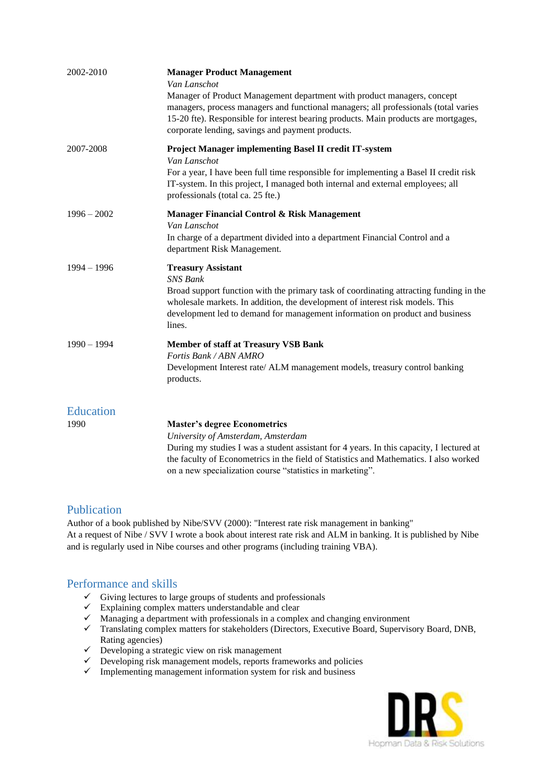| 2002-2010        | <b>Manager Product Management</b><br>Van Lanschot                                                                                                                                                                                                                                                                 |
|------------------|-------------------------------------------------------------------------------------------------------------------------------------------------------------------------------------------------------------------------------------------------------------------------------------------------------------------|
|                  | Manager of Product Management department with product managers, concept<br>managers, process managers and functional managers; all professionals (total varies<br>15-20 fte). Responsible for interest bearing products. Main products are mortgages,<br>corporate lending, savings and payment products.         |
| 2007-2008        | <b>Project Manager implementing Basel II credit IT-system</b><br>Van Lanschot<br>For a year, I have been full time responsible for implementing a Basel II credit risk<br>IT-system. In this project, I managed both internal and external employees; all<br>professionals (total ca. 25 fte.)                    |
| $1996 - 2002$    | Manager Financial Control & Risk Management<br>Van Lanschot<br>In charge of a department divided into a department Financial Control and a<br>department Risk Management.                                                                                                                                         |
| $1994 - 1996$    | <b>Treasury Assistant</b><br><b>SNS Bank</b><br>Broad support function with the primary task of coordinating attracting funding in the<br>wholesale markets. In addition, the development of interest risk models. This<br>development led to demand for management information on product and business<br>lines. |
| $1990 - 1994$    | <b>Member of staff at Treasury VSB Bank</b><br>Fortis Bank / ABN AMRO<br>Development Interest rate/ ALM management models, treasury control banking<br>products.                                                                                                                                                  |
| <b>Education</b> |                                                                                                                                                                                                                                                                                                                   |
| 1990             | <b>Master's degree Econometrics</b><br>University of Amsterdam, Amsterdam                                                                                                                                                                                                                                         |
|                  |                                                                                                                                                                                                                                                                                                                   |

During my studies I was a student assistant for 4 years. In this capacity, I lectured at the faculty of Econometrics in the field of Statistics and Mathematics. I also worked on a new specialization course "statistics in marketing".

### Publication

Author of a book published by Nibe/SVV (2000): "Interest rate risk management in banking" At a request of Nibe / SVV I wrote a book about interest rate risk and ALM in banking. It is published by Nibe and is regularly used in Nibe courses and other programs (including training VBA).

## Performance and skills

- $\checkmark$  Giving lectures to large groups of students and professionals
- $\checkmark$  Explaining complex matters understandable and clear
- $\checkmark$  Managing a department with professionals in a complex and changing environment
- ✓ Translating complex matters for stakeholders (Directors, Executive Board, Supervisory Board, DNB, Rating agencies)
- $\checkmark$  Developing a strategic view on risk management
- ✓ Developing risk management models, reports frameworks and policies
- $\checkmark$  Implementing management information system for risk and business